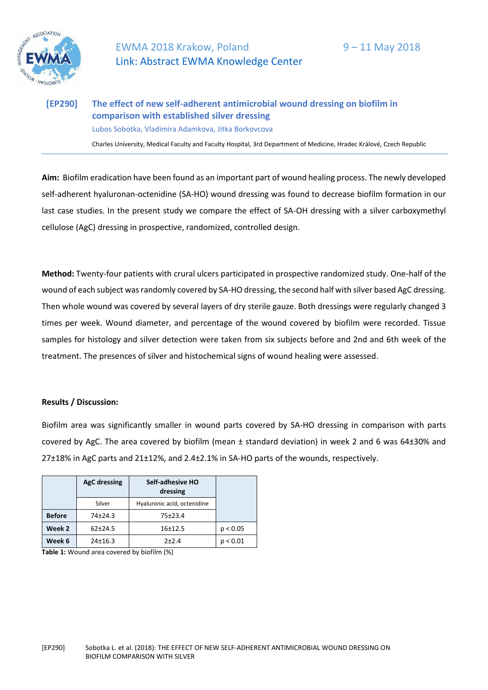

# EWMA 2018 Krakow, Poland 9 – 11 May 2018 [Link: Abstract EWMA Knowledge Center](https://ewma.conference2web.com/#resources/the-effect-of-new-self-adherent-antimicrobial-wound-dressing-on-biofilm-comparison-with-silver)

## **[EP290] The effect of new self-adherent antimicrobial wound dressing on biofilm in comparison with established silver dressing**

Lubos Sobotka, Vladimira Adamkova, Jitka Borkovcova

Charles University, Medical Faculty and Faculty Hospital, 3rd Department of Medicine, Hradec Králové, Czech Republic

**Aim:** Biofilm eradication have been found as an important part of wound healing process. The newly developed self-adherent hyaluronan-octenidine (SA-HO) wound dressing was found to decrease biofilm formation in our last case studies. In the present study we compare the effect of SA-OH dressing with a silver carboxymethyl cellulose (AgC) dressing in prospective, randomized, controlled design.

**Method:** Twenty-four patients with crural ulcers participated in prospective randomized study. One-half of the wound of each subject was randomly covered by SA-HO dressing, the second half with silver based AgC dressing. Then whole wound was covered by several layers of dry sterile gauze. Both dressings were regularly changed 3 times per week. Wound diameter, and percentage of the wound covered by biofilm were recorded. Tissue samples for histology and silver detection were taken from six subjects before and 2nd and 6th week of the treatment. The presences of silver and histochemical signs of wound healing were assessed.

### **Results / Discussion:**

Biofilm area was significantly smaller in wound parts covered by SA-HO dressing in comparison with parts covered by AgC. The area covered by biofilm (mean ± standard deviation) in week 2 and 6 was 64±30% and 27±18% in AgC parts and 21±12%, and 2.4±2.1% in SA-HO parts of the wounds, respectively.

|               | <b>AgC</b> dressing | Self-adhesive HO<br>dressing |               |
|---------------|---------------------|------------------------------|---------------|
|               | Silver              | Hyaluronic acid, octenidine  |               |
| <b>Before</b> | 74±24.3             | 75±23.4                      |               |
| Week 2        | $62+24.5$           | $16+12.5$                    | p < 0.05      |
| Week 6        | $24 \pm 16.3$       | $2+2.4$                      | ${}_{< 0.01}$ |

**Table 1:** Wound area covered by biofilm (%)